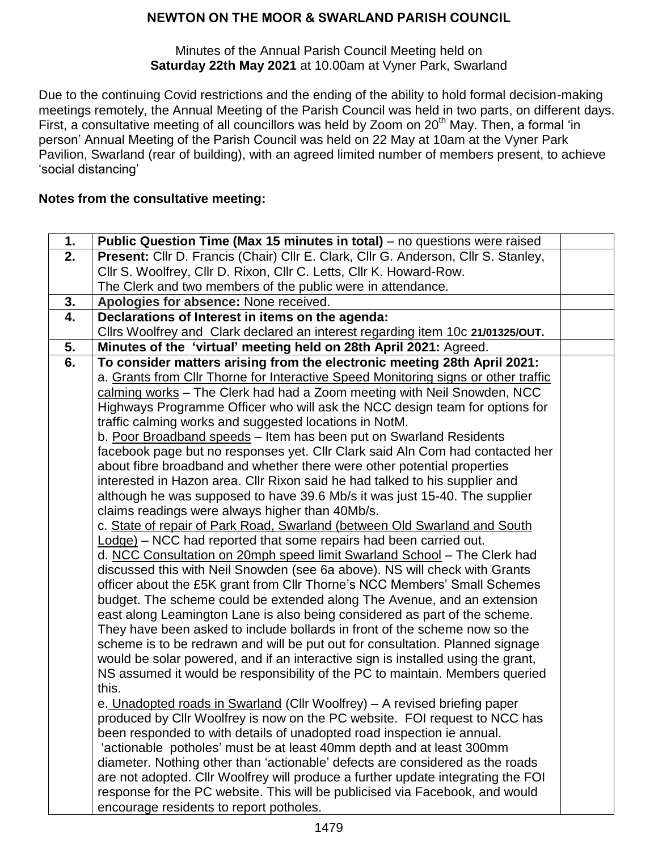Minutes of the Annual Parish Council Meeting held on **Saturday 22th May 2021** at 10.00am at Vyner Park, Swarland

Due to the continuing Covid restrictions and the ending of the ability to hold formal decision-making meetings remotely, the Annual Meeting of the Parish Council was held in two parts, on different days. First, a consultative meeting of all councillors was held by Zoom on 20<sup>th</sup> May. Then, a formal 'in person' Annual Meeting of the Parish Council was held on 22 May at 10am at the Vyner Park Pavilion, Swarland (rear of building), with an agreed limited number of members present, to achieve 'social distancing'

## **Notes from the consultative meeting:**

| 1. | Public Question Time (Max 15 minutes in total) – no questions were raised          |  |
|----|------------------------------------------------------------------------------------|--|
| 2. | Present: Cllr D. Francis (Chair) Cllr E. Clark, Cllr G. Anderson, Cllr S. Stanley, |  |
|    | Cllr S. Woolfrey, Cllr D. Rixon, Cllr C. Letts, Cllr K. Howard-Row.                |  |
|    | The Clerk and two members of the public were in attendance.                        |  |
| 3. | Apologies for absence: None received.                                              |  |
| 4. | Declarations of Interest in items on the agenda:                                   |  |
|    | Cllrs Woolfrey and Clark declared an interest regarding item 10c 21/01325/OUT.     |  |
| 5. | Minutes of the 'virtual' meeting held on 28th April 2021: Agreed.                  |  |
| 6. | To consider matters arising from the electronic meeting 28th April 2021:           |  |
|    | a. Grants from Cllr Thorne for Interactive Speed Monitoring signs or other traffic |  |
|    | calming works - The Clerk had had a Zoom meeting with Neil Snowden, NCC            |  |
|    | Highways Programme Officer who will ask the NCC design team for options for        |  |
|    | traffic calming works and suggested locations in NotM.                             |  |
|    | b. Poor Broadband speeds - Item has been put on Swarland Residents                 |  |
|    | facebook page but no responses yet. Cllr Clark said Aln Com had contacted her      |  |
|    | about fibre broadband and whether there were other potential properties            |  |
|    | interested in Hazon area. Cllr Rixon said he had talked to his supplier and        |  |
|    | although he was supposed to have 39.6 Mb/s it was just 15-40. The supplier         |  |
|    | claims readings were always higher than 40Mb/s.                                    |  |
|    | c. State of repair of Park Road, Swarland (between Old Swarland and South          |  |
|    | Lodge) - NCC had reported that some repairs had been carried out.                  |  |
|    | d. NCC Consultation on 20mph speed limit Swarland School - The Clerk had           |  |
|    | discussed this with Neil Snowden (see 6a above). NS will check with Grants         |  |
|    | officer about the £5K grant from CIIr Thorne's NCC Members' Small Schemes          |  |
|    | budget. The scheme could be extended along The Avenue, and an extension            |  |
|    | east along Leamington Lane is also being considered as part of the scheme.         |  |
|    | They have been asked to include bollards in front of the scheme now so the         |  |
|    | scheme is to be redrawn and will be put out for consultation. Planned signage      |  |
|    | would be solar powered, and if an interactive sign is installed using the grant,   |  |
|    | NS assumed it would be responsibility of the PC to maintain. Members queried       |  |
|    | this.                                                                              |  |
|    | e. Unadopted roads in Swarland (Cllr Woolfrey) - A revised briefing paper          |  |
|    | produced by Cllr Woolfrey is now on the PC website. FOI request to NCC has         |  |
|    | been responded to with details of unadopted road inspection ie annual.             |  |
|    | 'actionable potholes' must be at least 40mm depth and at least 300mm               |  |
|    | diameter. Nothing other than 'actionable' defects are considered as the roads      |  |
|    | are not adopted. Cllr Woolfrey will produce a further update integrating the FOI   |  |
|    | response for the PC website. This will be publicised via Facebook, and would       |  |
|    | encourage residents to report potholes.                                            |  |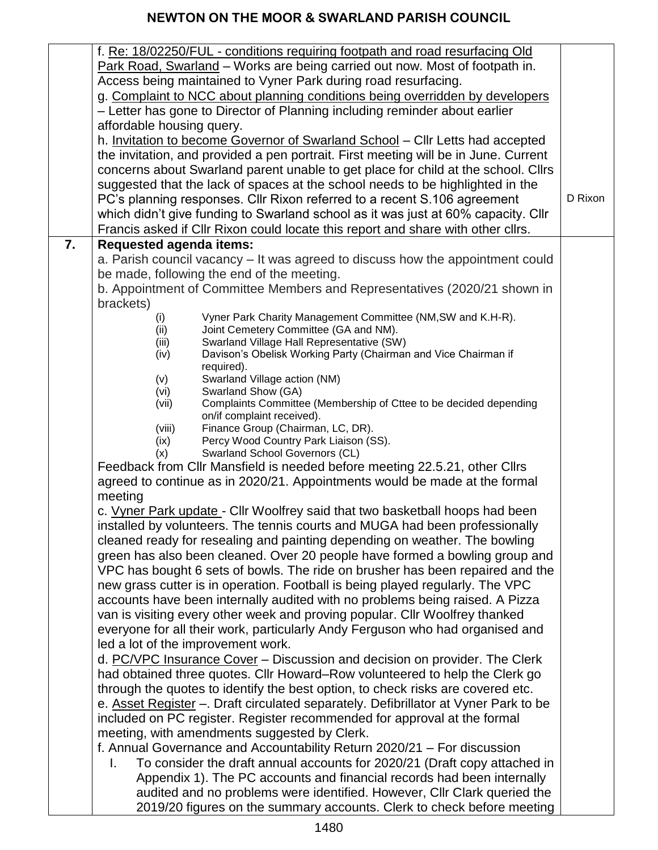|    | f. Re: 18/02250/FUL - conditions requiring footpath and road resurfacing Old                                                                               |         |
|----|------------------------------------------------------------------------------------------------------------------------------------------------------------|---------|
|    | Park Road, Swarland - Works are being carried out now. Most of footpath in.                                                                                |         |
|    | Access being maintained to Vyner Park during road resurfacing.                                                                                             |         |
|    | g. Complaint to NCC about planning conditions being overridden by developers                                                                               |         |
|    | - Letter has gone to Director of Planning including reminder about earlier                                                                                 |         |
|    | affordable housing query.                                                                                                                                  |         |
|    | h. Invitation to become Governor of Swarland School - Cllr Letts had accepted                                                                              |         |
|    | the invitation, and provided a pen portrait. First meeting will be in June. Current                                                                        |         |
|    | concerns about Swarland parent unable to get place for child at the school. Clirs                                                                          |         |
|    | suggested that the lack of spaces at the school needs to be highlighted in the                                                                             |         |
|    | PC's planning responses. Cllr Rixon referred to a recent S.106 agreement                                                                                   | D Rixon |
|    | which didn't give funding to Swarland school as it was just at 60% capacity. Cllr                                                                          |         |
|    | Francis asked if Cllr Rixon could locate this report and share with other cllrs.                                                                           |         |
| 7. | <b>Requested agenda items:</b>                                                                                                                             |         |
|    | a. Parish council vacancy - It was agreed to discuss how the appointment could                                                                             |         |
|    | be made, following the end of the meeting.                                                                                                                 |         |
|    | b. Appointment of Committee Members and Representatives (2020/21 shown in                                                                                  |         |
|    | brackets)                                                                                                                                                  |         |
|    | Vyner Park Charity Management Committee (NM, SW and K.H-R).<br>(i)                                                                                         |         |
|    | (ii)<br>Joint Cemetery Committee (GA and NM).                                                                                                              |         |
|    | Swarland Village Hall Representative (SW)<br>(iii)<br>Davison's Obelisk Working Party (Chairman and Vice Chairman if<br>(iv)                               |         |
|    | required).                                                                                                                                                 |         |
|    | Swarland Village action (NM)<br>(v)                                                                                                                        |         |
|    | Swarland Show (GA)<br>(vi)                                                                                                                                 |         |
|    | Complaints Committee (Membership of Cttee to be decided depending<br>(vii)<br>on/if complaint received).                                                   |         |
|    | Finance Group (Chairman, LC, DR).<br>(viii)                                                                                                                |         |
|    | Percy Wood Country Park Liaison (SS).<br>(ix)                                                                                                              |         |
|    | (x)<br>Swarland School Governors (CL)                                                                                                                      |         |
|    | Feedback from Cllr Mansfield is needed before meeting 22.5.21, other Cllrs                                                                                 |         |
|    | agreed to continue as in 2020/21. Appointments would be made at the formal                                                                                 |         |
|    | meeting                                                                                                                                                    |         |
|    | c. Vyner Park update - Cllr Woolfrey said that two basketball hoops had been                                                                               |         |
|    | installed by volunteers. The tennis courts and MUGA had been professionally                                                                                |         |
|    | cleaned ready for resealing and painting depending on weather. The bowling                                                                                 |         |
|    | green has also been cleaned. Over 20 people have formed a bowling group and                                                                                |         |
|    | VPC has bought 6 sets of bowls. The ride on brusher has been repaired and the                                                                              |         |
|    | new grass cutter is in operation. Football is being played regularly. The VPC                                                                              |         |
|    | accounts have been internally audited with no problems being raised. A Pizza                                                                               |         |
|    | van is visiting every other week and proving popular. Cllr Woolfrey thanked                                                                                |         |
|    | everyone for all their work, particularly Andy Ferguson who had organised and                                                                              |         |
|    | led a lot of the improvement work.                                                                                                                         |         |
|    | d. PC/VPC Insurance Cover - Discussion and decision on provider. The Clerk                                                                                 |         |
|    | had obtained three quotes. Cllr Howard–Row volunteered to help the Clerk go                                                                                |         |
|    | through the quotes to identify the best option, to check risks are covered etc.                                                                            |         |
|    | e. Asset Register -. Draft circulated separately. Defibrillator at Vyner Park to be                                                                        |         |
|    | included on PC register. Register recommended for approval at the formal<br>meeting, with amendments suggested by Clerk.                                   |         |
|    |                                                                                                                                                            |         |
|    | f. Annual Governance and Accountability Return 2020/21 – For discussion<br>To consider the draft annual accounts for 2020/21 (Draft copy attached in<br>I. |         |
|    | Appendix 1). The PC accounts and financial records had been internally                                                                                     |         |
|    | audited and no problems were identified. However, Cllr Clark queried the                                                                                   |         |
|    | 2019/20 figures on the summary accounts. Clerk to check before meeting                                                                                     |         |
|    |                                                                                                                                                            |         |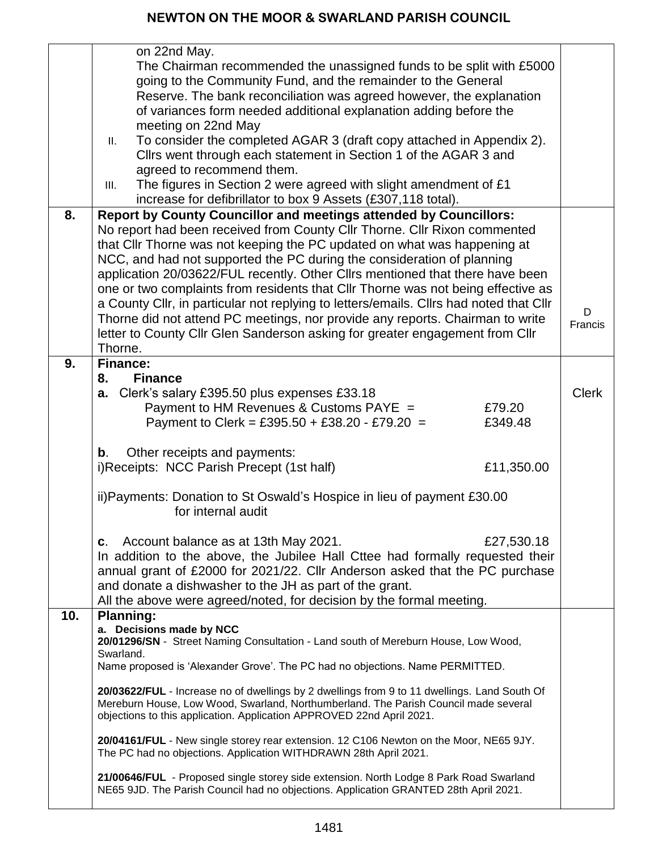|     | on 22nd May.<br>The Chairman recommended the unassigned funds to be split with £5000<br>going to the Community Fund, and the remainder to the General<br>Reserve. The bank reconciliation was agreed however, the explanation<br>of variances form needed additional explanation adding before the<br>meeting on 22nd May<br>To consider the completed AGAR 3 (draft copy attached in Appendix 2).<br>Ш.<br>Cllrs went through each statement in Section 1 of the AGAR 3 and<br>agreed to recommend them.<br>The figures in Section 2 were agreed with slight amendment of £1<br>III.<br>increase for defibrillator to box 9 Assets (£307,118 total). |              |
|-----|-------------------------------------------------------------------------------------------------------------------------------------------------------------------------------------------------------------------------------------------------------------------------------------------------------------------------------------------------------------------------------------------------------------------------------------------------------------------------------------------------------------------------------------------------------------------------------------------------------------------------------------------------------|--------------|
| 8.  | <b>Report by County Councillor and meetings attended by Councillors:</b><br>No report had been received from County Cllr Thorne. Cllr Rixon commented<br>that Cllr Thorne was not keeping the PC updated on what was happening at<br>NCC, and had not supported the PC during the consideration of planning<br>application 20/03622/FUL recently. Other Cllrs mentioned that there have been<br>one or two complaints from residents that CIIr Thorne was not being effective as<br>a County Cllr, in particular not replying to letters/emails. Cllrs had noted that Cllr                                                                            | D            |
|     | Thorne did not attend PC meetings, nor provide any reports. Chairman to write<br>letter to County Cllr Glen Sanderson asking for greater engagement from Cllr<br>Thorne.                                                                                                                                                                                                                                                                                                                                                                                                                                                                              | Francis      |
| 9.  | <b>Finance:</b><br><b>Finance</b><br>8.                                                                                                                                                                                                                                                                                                                                                                                                                                                                                                                                                                                                               |              |
|     | a. Clerk's salary £395.50 plus expenses £33.18<br>Payment to HM Revenues & Customs PAYE =<br>£79.20<br>Payment to Clerk = £395.50 + £38.20 - £79.20 =<br>£349.48                                                                                                                                                                                                                                                                                                                                                                                                                                                                                      | <b>Clerk</b> |
|     | Other receipts and payments:<br>$\mathbf b$ .<br>i)Receipts: NCC Parish Precept (1st half)<br>£11,350.00                                                                                                                                                                                                                                                                                                                                                                                                                                                                                                                                              |              |
|     | ii) Payments: Donation to St Oswald's Hospice in lieu of payment £30.00<br>for internal audit                                                                                                                                                                                                                                                                                                                                                                                                                                                                                                                                                         |              |
|     | c. Account balance as at 13th May 2021.<br>£27,530.18<br>In addition to the above, the Jubilee Hall Cttee had formally requested their<br>annual grant of £2000 for 2021/22. Cllr Anderson asked that the PC purchase<br>and donate a dishwasher to the JH as part of the grant.<br>All the above were agreed/noted, for decision by the formal meeting.                                                                                                                                                                                                                                                                                              |              |
| 10. | <b>Planning:</b><br>a. Decisions made by NCC<br>20/01296/SN - Street Naming Consultation - Land south of Mereburn House, Low Wood,                                                                                                                                                                                                                                                                                                                                                                                                                                                                                                                    |              |
|     | Swarland.<br>Name proposed is 'Alexander Grove'. The PC had no objections. Name PERMITTED.                                                                                                                                                                                                                                                                                                                                                                                                                                                                                                                                                            |              |
|     | 20/03622/FUL - Increase no of dwellings by 2 dwellings from 9 to 11 dwellings. Land South Of<br>Mereburn House, Low Wood, Swarland, Northumberland. The Parish Council made several<br>objections to this application. Application APPROVED 22nd April 2021.                                                                                                                                                                                                                                                                                                                                                                                          |              |
|     | 20/04161/FUL - New single storey rear extension. 12 C106 Newton on the Moor, NE65 9JY.<br>The PC had no objections. Application WITHDRAWN 28th April 2021.                                                                                                                                                                                                                                                                                                                                                                                                                                                                                            |              |
|     | 21/00646/FUL - Proposed single storey side extension. North Lodge 8 Park Road Swarland<br>NE65 9JD. The Parish Council had no objections. Application GRANTED 28th April 2021.                                                                                                                                                                                                                                                                                                                                                                                                                                                                        |              |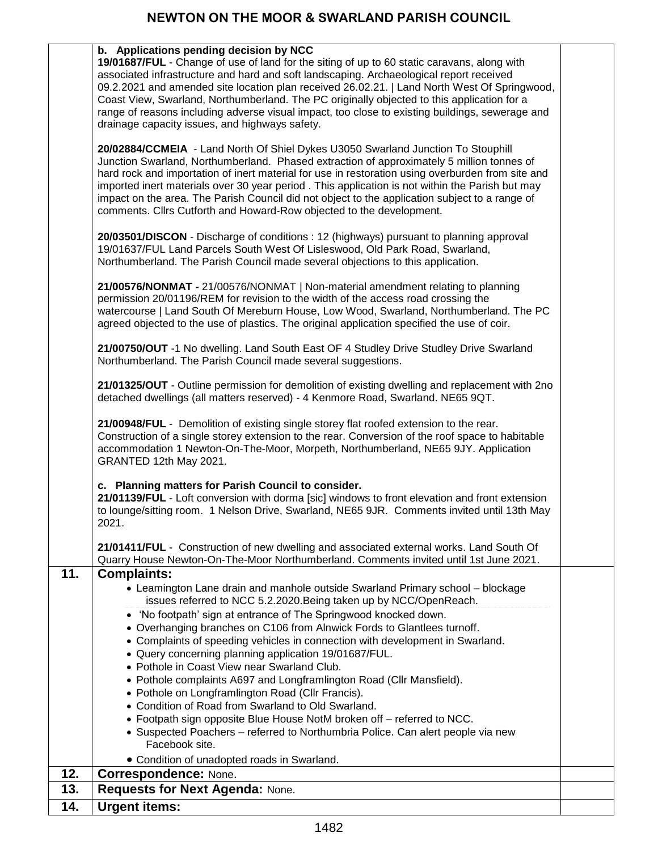|     | b. Applications pending decision by NCC<br>19/01687/FUL - Change of use of land for the siting of up to 60 static caravans, along with<br>associated infrastructure and hard and soft landscaping. Archaeological report received<br>09.2.2021 and amended site location plan received 26.02.21.   Land North West Of Springwood,<br>Coast View, Swarland, Northumberland. The PC originally objected to this application for a<br>range of reasons including adverse visual impact, too close to existing buildings, sewerage and<br>drainage capacity issues, and highways safety.                                                                                                                                                                                                                                                                                                |  |
|-----|-------------------------------------------------------------------------------------------------------------------------------------------------------------------------------------------------------------------------------------------------------------------------------------------------------------------------------------------------------------------------------------------------------------------------------------------------------------------------------------------------------------------------------------------------------------------------------------------------------------------------------------------------------------------------------------------------------------------------------------------------------------------------------------------------------------------------------------------------------------------------------------|--|
|     | 20/02884/CCMEIA - Land North Of Shiel Dykes U3050 Swarland Junction To Stouphill<br>Junction Swarland, Northumberland. Phased extraction of approximately 5 million tonnes of<br>hard rock and importation of inert material for use in restoration using overburden from site and<br>imported inert materials over 30 year period. This application is not within the Parish but may<br>impact on the area. The Parish Council did not object to the application subject to a range of<br>comments. Cllrs Cutforth and Howard-Row objected to the development.                                                                                                                                                                                                                                                                                                                     |  |
|     | 20/03501/DISCON - Discharge of conditions : 12 (highways) pursuant to planning approval<br>19/01637/FUL Land Parcels South West Of Lisleswood, Old Park Road, Swarland,<br>Northumberland. The Parish Council made several objections to this application.                                                                                                                                                                                                                                                                                                                                                                                                                                                                                                                                                                                                                          |  |
|     | 21/00576/NONMAT - 21/00576/NONMAT   Non-material amendment relating to planning<br>permission 20/01196/REM for revision to the width of the access road crossing the<br>watercourse   Land South Of Mereburn House, Low Wood, Swarland, Northumberland. The PC<br>agreed objected to the use of plastics. The original application specified the use of coir.                                                                                                                                                                                                                                                                                                                                                                                                                                                                                                                       |  |
|     | 21/00750/OUT -1 No dwelling. Land South East OF 4 Studley Drive Studley Drive Swarland<br>Northumberland. The Parish Council made several suggestions.                                                                                                                                                                                                                                                                                                                                                                                                                                                                                                                                                                                                                                                                                                                              |  |
|     | 21/01325/OUT - Outline permission for demolition of existing dwelling and replacement with 2no<br>detached dwellings (all matters reserved) - 4 Kenmore Road, Swarland. NE65 9QT.                                                                                                                                                                                                                                                                                                                                                                                                                                                                                                                                                                                                                                                                                                   |  |
|     | 21/00948/FUL - Demolition of existing single storey flat roofed extension to the rear.<br>Construction of a single storey extension to the rear. Conversion of the roof space to habitable<br>accommodation 1 Newton-On-The-Moor, Morpeth, Northumberland, NE65 9JY. Application<br>GRANTED 12th May 2021.                                                                                                                                                                                                                                                                                                                                                                                                                                                                                                                                                                          |  |
|     | c. Planning matters for Parish Council to consider.<br>21/01139/FUL - Loft conversion with dorma [sic] windows to front elevation and front extension<br>to lounge/sitting room. 1 Nelson Drive, Swarland, NE65 9JR. Comments invited until 13th May<br>2021.                                                                                                                                                                                                                                                                                                                                                                                                                                                                                                                                                                                                                       |  |
|     | 21/01411/FUL - Construction of new dwelling and associated external works. Land South Of<br>Quarry House Newton-On-The-Moor Northumberland. Comments invited until 1st June 2021.                                                                                                                                                                                                                                                                                                                                                                                                                                                                                                                                                                                                                                                                                                   |  |
| 11. | <b>Complaints:</b><br>• Leamington Lane drain and manhole outside Swarland Primary school - blockage<br>issues referred to NCC 5.2.2020. Being taken up by NCC/OpenReach.<br>• 'No footpath' sign at entrance of The Springwood knocked down.<br>• Overhanging branches on C106 from Alnwick Fords to Glantlees turnoff.<br>• Complaints of speeding vehicles in connection with development in Swarland.<br>• Query concerning planning application 19/01687/FUL.<br>• Pothole in Coast View near Swarland Club.<br>• Pothole complaints A697 and Longframlington Road (Cllr Mansfield).<br>• Pothole on Longframlington Road (Cllr Francis).<br>• Condition of Road from Swarland to Old Swarland.<br>• Footpath sign opposite Blue House NotM broken off - referred to NCC.<br>• Suspected Poachers - referred to Northumbria Police. Can alert people via new<br>Facebook site. |  |
| 12. | • Condition of unadopted roads in Swarland.<br><b>Correspondence: None.</b>                                                                                                                                                                                                                                                                                                                                                                                                                                                                                                                                                                                                                                                                                                                                                                                                         |  |
| 13. | Requests for Next Agenda: None.                                                                                                                                                                                                                                                                                                                                                                                                                                                                                                                                                                                                                                                                                                                                                                                                                                                     |  |
| 14. | <b>Urgent items:</b>                                                                                                                                                                                                                                                                                                                                                                                                                                                                                                                                                                                                                                                                                                                                                                                                                                                                |  |
|     |                                                                                                                                                                                                                                                                                                                                                                                                                                                                                                                                                                                                                                                                                                                                                                                                                                                                                     |  |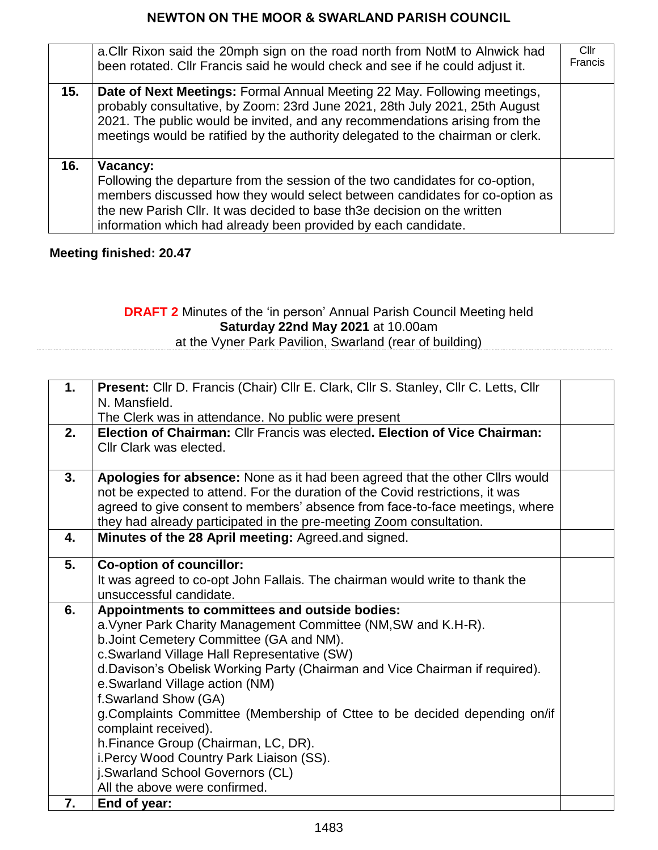|     | a. Cllr Rixon said the 20mph sign on the road north from NotM to Alnwick had<br>been rotated. Cllr Francis said he would check and see if he could adjust it.                                                                                                                                                             | Cllr<br>Francis |
|-----|---------------------------------------------------------------------------------------------------------------------------------------------------------------------------------------------------------------------------------------------------------------------------------------------------------------------------|-----------------|
| 15. | Date of Next Meetings: Formal Annual Meeting 22 May. Following meetings,<br>probably consultative, by Zoom: 23rd June 2021, 28th July 2021, 25th August<br>2021. The public would be invited, and any recommendations arising from the<br>meetings would be ratified by the authority delegated to the chairman or clerk. |                 |
| 16. | Vacancy:<br>Following the departure from the session of the two candidates for co-option,<br>members discussed how they would select between candidates for co-option as<br>the new Parish CIIr. It was decided to base th3e decision on the written<br>information which had already been provided by each candidate.    |                 |

#### **Meeting finished: 20.47**

#### **DRAFT 2** Minutes of the 'in person' Annual Parish Council Meeting held **Saturday 22nd May 2021** at 10.00am at the Vyner Park Pavilion, Swarland (rear of building)

| 1. | Present: Cllr D. Francis (Chair) Cllr E. Clark, Cllr S. Stanley, Cllr C. Letts, Cllr                                                                          |  |
|----|---------------------------------------------------------------------------------------------------------------------------------------------------------------|--|
|    | N. Mansfield.                                                                                                                                                 |  |
|    | The Clerk was in attendance. No public were present                                                                                                           |  |
| 2. | Election of Chairman: Cllr Francis was elected. Election of Vice Chairman:<br>Cllr Clark was elected.                                                         |  |
|    |                                                                                                                                                               |  |
| 3. | Apologies for absence: None as it had been agreed that the other Cllrs would<br>not be expected to attend. For the duration of the Covid restrictions, it was |  |
|    | agreed to give consent to members' absence from face-to-face meetings, where                                                                                  |  |
|    | they had already participated in the pre-meeting Zoom consultation.                                                                                           |  |
| 4. | Minutes of the 28 April meeting: Agreed.and signed.                                                                                                           |  |
|    |                                                                                                                                                               |  |
| 5. | <b>Co-option of councillor:</b>                                                                                                                               |  |
|    | It was agreed to co-opt John Fallais. The chairman would write to thank the                                                                                   |  |
|    | unsuccessful candidate.                                                                                                                                       |  |
| 6. | Appointments to committees and outside bodies:                                                                                                                |  |
|    | a. Vyner Park Charity Management Committee (NM, SW and K.H-R).                                                                                                |  |
|    | b. Joint Cemetery Committee (GA and NM).                                                                                                                      |  |
|    | c.Swarland Village Hall Representative (SW)                                                                                                                   |  |
|    | d. Davison's Obelisk Working Party (Chairman and Vice Chairman if required).                                                                                  |  |
|    | e.Swarland Village action (NM)                                                                                                                                |  |
|    | f.Swarland Show (GA)                                                                                                                                          |  |
|    | g. Complaints Committee (Membership of Cttee to be decided depending on/if                                                                                    |  |
|    | complaint received).                                                                                                                                          |  |
|    | h.Finance Group (Chairman, LC, DR).                                                                                                                           |  |
|    | i. Percy Wood Country Park Liaison (SS).                                                                                                                      |  |
|    | j.Swarland School Governors (CL)                                                                                                                              |  |
|    | All the above were confirmed.                                                                                                                                 |  |
| 7. | End of year:                                                                                                                                                  |  |